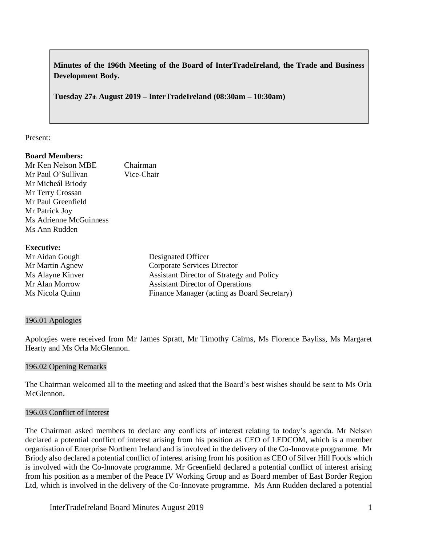**Minutes of the 196th Meeting of the Board of InterTradeIreland, the Trade and Business Development Body.**

**Tuesday 27th August 2019 – InterTradeIreland (08:30am – 10:30am)**

### Present:

### **Board Members:**

Mr Ken Nelson MBE Chairman Mr Paul O'Sullivan Vice-Chair Mr Micheál Briody Mr Terry Crossan Mr Paul Greenfield Mr Patrick Joy Ms Adrienne McGuinness Ms Ann Rudden

### **Executive:**

| Designated Officer                          |
|---------------------------------------------|
| Corporate Services Director                 |
| Assistant Director of Strategy and Policy   |
| <b>Assistant Director of Operations</b>     |
| Finance Manager (acting as Board Secretary) |
|                                             |

## 196.01 Apologies

Apologies were received from Mr James Spratt, Mr Timothy Cairns, Ms Florence Bayliss, Ms Margaret Hearty and Ms Orla McGlennon.

## 196.02 Opening Remarks

The Chairman welcomed all to the meeting and asked that the Board's best wishes should be sent to Ms Orla McGlennon.

### 196.03 Conflict of Interest

The Chairman asked members to declare any conflicts of interest relating to today's agenda. Mr Nelson declared a potential conflict of interest arising from his position as CEO of LEDCOM, which is a member organisation of Enterprise Northern Ireland and is involved in the delivery of the Co-Innovate programme. Mr Briody also declared a potential conflict of interest arising from his position as CEO of Silver Hill Foods which is involved with the Co-Innovate programme. Mr Greenfield declared a potential conflict of interest arising from his position as a member of the Peace IV Working Group and as Board member of East Border Region Ltd, which is involved in the delivery of the Co-Innovate programme. Ms Ann Rudden declared a potential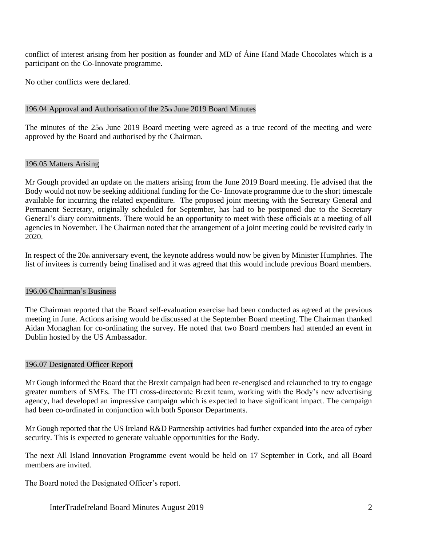conflict of interest arising from her position as founder and MD of Áine Hand Made Chocolates which is a participant on the Co-Innovate programme.

No other conflicts were declared.

### 196.04 Approval and Authorisation of the 25th June 2019 Board Minutes

The minutes of the 25th June 2019 Board meeting were agreed as a true record of the meeting and were approved by the Board and authorised by the Chairman.

### 196.05 Matters Arising

Mr Gough provided an update on the matters arising from the June 2019 Board meeting. He advised that the Body would not now be seeking additional funding for the Co- Innovate programme due to the short timescale available for incurring the related expenditure. The proposed joint meeting with the Secretary General and Permanent Secretary, originally scheduled for September, has had to be postponed due to the Secretary General's diary commitments. There would be an opportunity to meet with these officials at a meeting of all agencies in November. The Chairman noted that the arrangement of a joint meeting could be revisited early in 2020.

In respect of the  $20<sub>th</sub>$  anniversary event, the keynote address would now be given by Minister Humphries. The list of invitees is currently being finalised and it was agreed that this would include previous Board members.

### 196.06 Chairman's Business

The Chairman reported that the Board self-evaluation exercise had been conducted as agreed at the previous meeting in June. Actions arising would be discussed at the September Board meeting. The Chairman thanked Aidan Monaghan for co-ordinating the survey. He noted that two Board members had attended an event in Dublin hosted by the US Ambassador.

### 196.07 Designated Officer Report

Mr Gough informed the Board that the Brexit campaign had been re-energised and relaunched to try to engage greater numbers of SMEs. The ITI cross-directorate Brexit team, working with the Body's new advertising agency, had developed an impressive campaign which is expected to have significant impact. The campaign had been co-ordinated in conjunction with both Sponsor Departments.

Mr Gough reported that the US Ireland R&D Partnership activities had further expanded into the area of cyber security. This is expected to generate valuable opportunities for the Body.

The next All Island Innovation Programme event would be held on 17 September in Cork, and all Board members are invited.

The Board noted the Designated Officer's report.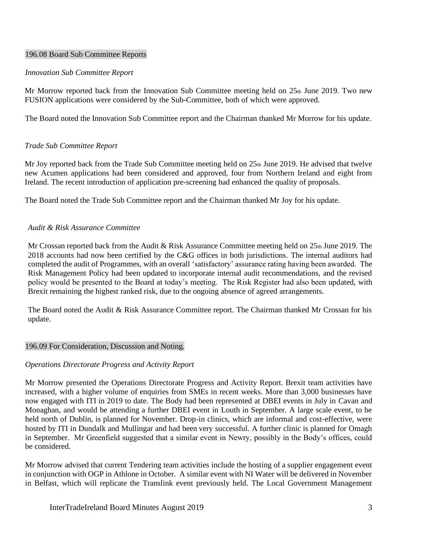### 196.08 Board Sub Committee Reports

### *Innovation Sub Committee Report*

Mr Morrow reported back from the Innovation Sub Committee meeting held on  $25<sub>th</sub>$  June 2019. Two new FUSION applications were considered by the Sub-Committee, both of which were approved.

The Board noted the Innovation Sub Committee report and the Chairman thanked Mr Morrow for his update.

## *Trade Sub Committee Report*

Mr Joy reported back from the Trade Sub Committee meeting held on  $25<sub>th</sub>$  June 2019. He advised that twelve new Acumen applications had been considered and approved, four from Northern Ireland and eight from Ireland. The recent introduction of application pre-screening had enhanced the quality of proposals.

The Board noted the Trade Sub Committee report and the Chairman thanked Mr Joy for his update.

### *Audit & Risk Assurance Committee*

Mr Crossan reported back from the Audit & Risk Assurance Committee meeting held on 25th June 2019. The 2018 accounts had now been certified by the C&G offices in both jurisdictions. The internal auditors had completed the audit of Programmes, with an overall 'satisfactory' assurance rating having been awarded. The Risk Management Policy had been updated to incorporate internal audit recommendations, and the revised policy would be presented to the Board at today's meeting. The Risk Register had also been updated, with Brexit remaining the highest ranked risk, due to the ongoing absence of agreed arrangements.

The Board noted the Audit & Risk Assurance Committee report. The Chairman thanked Mr Crossan for his update.

### 196.09 For Consideration, Discussion and Noting.

## *Operations Directorate Progress and Activity Report*

Mr Morrow presented the Operations Directorate Progress and Activity Report. Brexit team activities have increased, with a higher volume of enquiries from SMEs in recent weeks. More than 3,000 businesses have now engaged with ITI in 2019 to date. The Body had been represented at DBEI events in July in Cavan and Monaghan, and would be attending a further DBEI event in Louth in September. A large scale event, to be held north of Dublin, is planned for November. Drop-in clinics, which are informal and cost-effective, were hosted by ITI in Dundalk and Mullingar and had been very successful. A further clinic is planned for Omagh in September. Mr Greenfield suggested that a similar event in Newry, possibly in the Body's offices, could be considered.

Mr Morrow advised that current Tendering team activities include the hosting of a supplier engagement event in conjunction with OGP in Athlone in October. A similar event with NI Water will be delivered in November in Belfast, which will replicate the Translink event previously held. The Local Government Management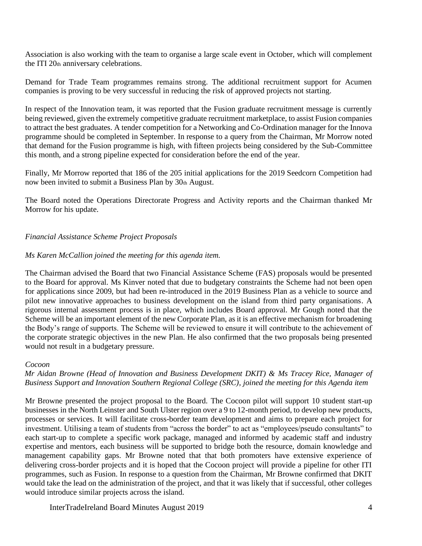Association is also working with the team to organise a large scale event in October, which will complement the ITI 20th anniversary celebrations.

Demand for Trade Team programmes remains strong. The additional recruitment support for Acumen companies is proving to be very successful in reducing the risk of approved projects not starting.

In respect of the Innovation team, it was reported that the Fusion graduate recruitment message is currently being reviewed, given the extremely competitive graduate recruitment marketplace, to assist Fusion companies to attract the best graduates. A tender competition for a Networking and Co-Ordination manager for the Innova programme should be completed in September. In response to a query from the Chairman, Mr Morrow noted that demand for the Fusion programme is high, with fifteen projects being considered by the Sub-Committee this month, and a strong pipeline expected for consideration before the end of the year.

Finally, Mr Morrow reported that 186 of the 205 initial applications for the 2019 Seedcorn Competition had now been invited to submit a Business Plan by 30th August.

The Board noted the Operations Directorate Progress and Activity reports and the Chairman thanked Mr Morrow for his update.

## *Financial Assistance Scheme Project Proposals*

### *Ms Karen McCallion joined the meeting for this agenda item.*

The Chairman advised the Board that two Financial Assistance Scheme (FAS) proposals would be presented to the Board for approval. Ms Kinver noted that due to budgetary constraints the Scheme had not been open for applications since 2009, but had been re-introduced in the 2019 Business Plan as a vehicle to source and pilot new innovative approaches to business development on the island from third party organisations. A rigorous internal assessment process is in place, which includes Board approval. Mr Gough noted that the Scheme will be an important element of the new Corporate Plan, as it is an effective mechanism for broadening the Body's range of supports. The Scheme will be reviewed to ensure it will contribute to the achievement of the corporate strategic objectives in the new Plan. He also confirmed that the two proposals being presented would not result in a budgetary pressure.

#### *Cocoon*

### *Mr Aidan Browne (Head of Innovation and Business Development DKIT) & Ms Tracey Rice, Manager of Business Support and Innovation Southern Regional College (SRC), joined the meeting for this Agenda item*

Mr Browne presented the project proposal to the Board. The Cocoon pilot will support 10 student start-up businesses in the North Leinster and South Ulster region over a 9 to 12-month period, to develop new products, processes or services. It will facilitate cross-border team development and aims to prepare each project for investment. Utilising a team of students from "across the border" to act as "employees/pseudo consultants" to each start-up to complete a specific work package, managed and informed by academic staff and industry expertise and mentors, each business will be supported to bridge both the resource, domain knowledge and management capability gaps. Mr Browne noted that that both promoters have extensive experience of delivering cross-border projects and it is hoped that the Cocoon project will provide a pipeline for other ITI programmes, such as Fusion. In response to a question from the Chairman, Mr Browne confirmed that DKIT would take the lead on the administration of the project, and that it was likely that if successful, other colleges would introduce similar projects across the island.

InterTradeIreland Board Minutes August 2019 4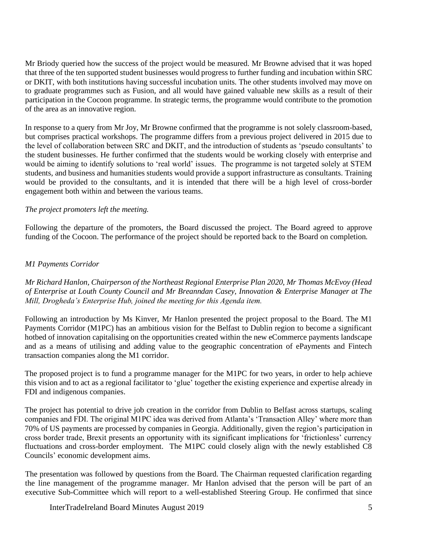Mr Briody queried how the success of the project would be measured. Mr Browne advised that it was hoped that three of the ten supported student businesses would progress to further funding and incubation within SRC or DKIT, with both institutions having successful incubation units. The other students involved may move on to graduate programmes such as Fusion, and all would have gained valuable new skills as a result of their participation in the Cocoon programme. In strategic terms, the programme would contribute to the promotion of the area as an innovative region.

In response to a query from Mr Joy, Mr Browne confirmed that the programme is not solely classroom-based, but comprises practical workshops. The programme differs from a previous project delivered in 2015 due to the level of collaboration between SRC and DKIT, and the introduction of students as 'pseudo consultants' to the student businesses. He further confirmed that the students would be working closely with enterprise and would be aiming to identify solutions to 'real world' issues. The programme is not targeted solely at STEM students, and business and humanities students would provide a support infrastructure as consultants. Training would be provided to the consultants, and it is intended that there will be a high level of cross-border engagement both within and between the various teams.

## *The project promoters left the meeting.*

Following the departure of the promoters, the Board discussed the project. The Board agreed to approve funding of the Cocoon. The performance of the project should be reported back to the Board on completion.

### *M1 Payments Corridor*

*Mr Richard Hanlon, Chairperson of the Northeast Regional Enterprise Plan 2020, Mr Thomas McEvoy (Head of Enterprise at Louth County Council and Mr Breanndan Casey, Innovation & Enterprise Manager at The Mill, Drogheda's Enterprise Hub, joined the meeting for this Agenda item.* 

Following an introduction by Ms Kinver, Mr Hanlon presented the project proposal to the Board. The M1 Payments Corridor (M1PC) has an ambitious vision for the Belfast to Dublin region to become a significant hotbed of innovation capitalising on the opportunities created within the new eCommerce payments landscape and as a means of utilising and adding value to the geographic concentration of ePayments and Fintech transaction companies along the M1 corridor.

The proposed project is to fund a programme manager for the M1PC for two years, in order to help achieve this vision and to act as a regional facilitator to 'glue' together the existing experience and expertise already in FDI and indigenous companies.

The project has potential to drive job creation in the corridor from Dublin to Belfast across startups, scaling companies and FDI. The original M1PC idea was derived from Atlanta's 'Transaction Alley' where more than 70% of US payments are processed by companies in Georgia. Additionally, given the region's participation in cross border trade, Brexit presents an opportunity with its significant implications for 'frictionless' currency fluctuations and cross-border employment. The M1PC could closely align with the newly established C8 Councils' economic development aims.

The presentation was followed by questions from the Board. The Chairman requested clarification regarding the line management of the programme manager. Mr Hanlon advised that the person will be part of an executive Sub-Committee which will report to a well-established Steering Group. He confirmed that since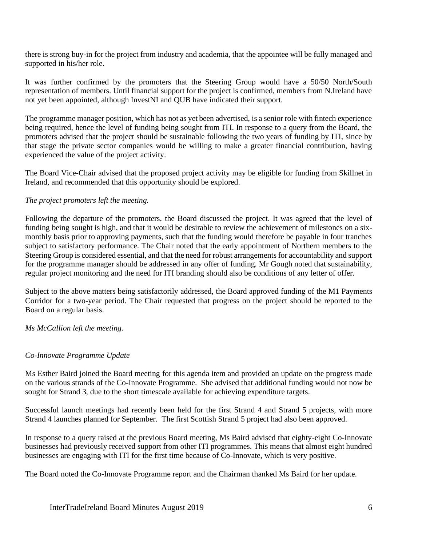there is strong buy-in for the project from industry and academia, that the appointee will be fully managed and supported in his/her role.

It was further confirmed by the promoters that the Steering Group would have a 50/50 North/South representation of members. Until financial support for the project is confirmed, members from N.Ireland have not yet been appointed, although InvestNI and QUB have indicated their support.

The programme manager position, which has not as yet been advertised, is a senior role with fintech experience being required, hence the level of funding being sought from ITI. In response to a query from the Board, the promoters advised that the project should be sustainable following the two years of funding by ITI, since by that stage the private sector companies would be willing to make a greater financial contribution, having experienced the value of the project activity.

The Board Vice-Chair advised that the proposed project activity may be eligible for funding from Skillnet in Ireland, and recommended that this opportunity should be explored.

## *The project promoters left the meeting.*

Following the departure of the promoters, the Board discussed the project. It was agreed that the level of funding being sought is high, and that it would be desirable to review the achievement of milestones on a sixmonthly basis prior to approving payments, such that the funding would therefore be payable in four tranches subject to satisfactory performance. The Chair noted that the early appointment of Northern members to the Steering Group is considered essential, and that the need for robust arrangements for accountability and support for the programme manager should be addressed in any offer of funding. Mr Gough noted that sustainability, regular project monitoring and the need for ITI branding should also be conditions of any letter of offer.

Subject to the above matters being satisfactorily addressed, the Board approved funding of the M1 Payments Corridor for a two-year period. The Chair requested that progress on the project should be reported to the Board on a regular basis.

*Ms McCallion left the meeting.*

## *Co-Innovate Programme Update*

Ms Esther Baird joined the Board meeting for this agenda item and provided an update on the progress made on the various strands of the Co-Innovate Programme. She advised that additional funding would not now be sought for Strand 3, due to the short timescale available for achieving expenditure targets.

Successful launch meetings had recently been held for the first Strand 4 and Strand 5 projects, with more Strand 4 launches planned for September. The first Scottish Strand 5 project had also been approved.

In response to a query raised at the previous Board meeting, Ms Baird advised that eighty-eight Co-Innovate businesses had previously received support from other ITI programmes. This means that almost eight hundred businesses are engaging with ITI for the first time because of Co-Innovate, which is very positive.

The Board noted the Co-Innovate Programme report and the Chairman thanked Ms Baird for her update.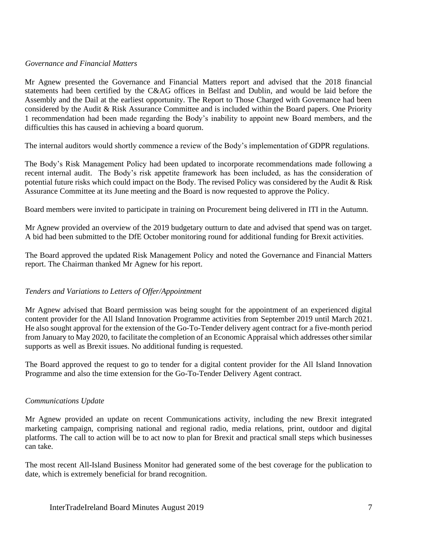### *Governance and Financial Matters*

Mr Agnew presented the Governance and Financial Matters report and advised that the 2018 financial statements had been certified by the C&AG offices in Belfast and Dublin, and would be laid before the Assembly and the Dail at the earliest opportunity. The Report to Those Charged with Governance had been considered by the Audit & Risk Assurance Committee and is included within the Board papers. One Priority 1 recommendation had been made regarding the Body's inability to appoint new Board members, and the difficulties this has caused in achieving a board quorum.

The internal auditors would shortly commence a review of the Body's implementation of GDPR regulations.

The Body's Risk Management Policy had been updated to incorporate recommendations made following a recent internal audit. The Body's risk appetite framework has been included, as has the consideration of potential future risks which could impact on the Body. The revised Policy was considered by the Audit & Risk Assurance Committee at its June meeting and the Board is now requested to approve the Policy.

Board members were invited to participate in training on Procurement being delivered in ITI in the Autumn.

Mr Agnew provided an overview of the 2019 budgetary outturn to date and advised that spend was on target. A bid had been submitted to the DfE October monitoring round for additional funding for Brexit activities.

The Board approved the updated Risk Management Policy and noted the Governance and Financial Matters report. The Chairman thanked Mr Agnew for his report.

## *Tenders and Variations to Letters of Offer/Appointment*

Mr Agnew advised that Board permission was being sought for the appointment of an experienced digital content provider for the All Island Innovation Programme activities from September 2019 until March 2021. He also sought approval for the extension of the Go-To-Tender delivery agent contract for a five-month period from January to May 2020, to facilitate the completion of an Economic Appraisal which addresses other similar supports as well as Brexit issues. No additional funding is requested.

The Board approved the request to go to tender for a digital content provider for the All Island Innovation Programme and also the time extension for the Go-To-Tender Delivery Agent contract.

### *Communications Update*

Mr Agnew provided an update on recent Communications activity, including the new Brexit integrated marketing campaign, comprising national and regional radio, media relations, print, outdoor and digital platforms. The call to action will be to act now to plan for Brexit and practical small steps which businesses can take.

The most recent All-Island Business Monitor had generated some of the best coverage for the publication to date, which is extremely beneficial for brand recognition.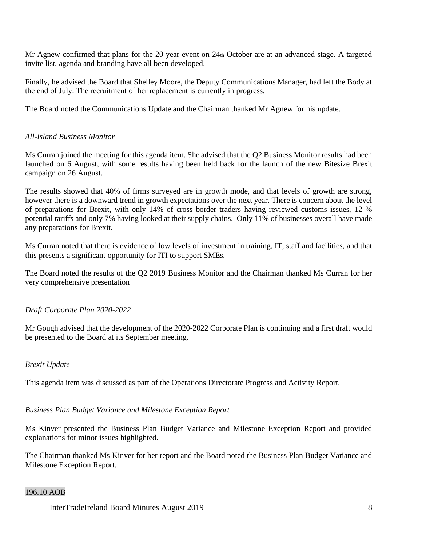Mr Agnew confirmed that plans for the 20 year event on  $24<sub>th</sub>$  October are at an advanced stage. A targeted invite list, agenda and branding have all been developed.

Finally, he advised the Board that Shelley Moore, the Deputy Communications Manager, had left the Body at the end of July. The recruitment of her replacement is currently in progress.

The Board noted the Communications Update and the Chairman thanked Mr Agnew for his update.

# *All-Island Business Monitor*

Ms Curran joined the meeting for this agenda item. She advised that the Q2 Business Monitor results had been launched on 6 August, with some results having been held back for the launch of the new Bitesize Brexit campaign on 26 August.

The results showed that 40% of firms surveyed are in growth mode, and that levels of growth are strong, however there is a downward trend in growth expectations over the next year. There is concern about the level of preparations for Brexit, with only 14% of cross border traders having reviewed customs issues, 12 % potential tariffs and only 7% having looked at their supply chains. Only 11% of businesses overall have made any preparations for Brexit.

Ms Curran noted that there is evidence of low levels of investment in training, IT, staff and facilities, and that this presents a significant opportunity for ITI to support SMEs.

The Board noted the results of the Q2 2019 Business Monitor and the Chairman thanked Ms Curran for her very comprehensive presentation

## *Draft Corporate Plan 2020-2022*

Mr Gough advised that the development of the 2020-2022 Corporate Plan is continuing and a first draft would be presented to the Board at its September meeting.

## *Brexit Update*

This agenda item was discussed as part of the Operations Directorate Progress and Activity Report.

## *Business Plan Budget Variance and Milestone Exception Report*

Ms Kinver presented the Business Plan Budget Variance and Milestone Exception Report and provided explanations for minor issues highlighted.

The Chairman thanked Ms Kinver for her report and the Board noted the Business Plan Budget Variance and Milestone Exception Report.

## 196.10 AOB

InterTradeIreland Board Minutes August 2019 8